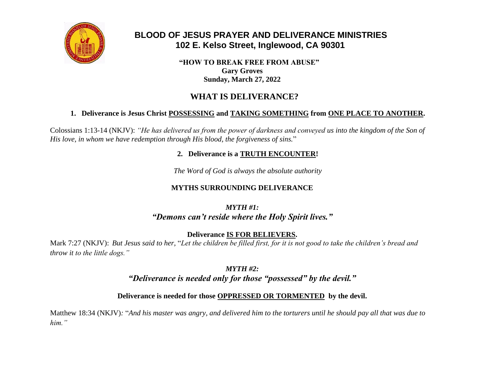

# **BLOOD OF JESUS PRAYER AND DELIVERANCE MINISTRIES 102 E. Kelso Street, Inglewood, CA 90301**

 **"HOW TO BREAK FREE FROM ABUSE" Gary Groves Sunday, March 27, 2022**

# **WHAT IS DELIVERANCE?**

# **1. Deliverance is Jesus Christ POSSESSING and TAKING SOMETHING from ONE PLACE TO ANOTHER.**

Colossians 1:13-14 (NKJV): *"He has delivered us from the power of darkness and conveyed us into the kingdom of the Son of His love, in whom we have redemption through His blood, the forgiveness of sins.*"

## **2. Deliverance is a TRUTH ENCOUNTER!**

*The Word of God is always the absolute authority*

# **MYTHS SURROUNDING DELIVERANCE**

# *MYTH #1: "Demons can't reside where the Holy Spirit lives."*

**Deliverance IS FOR BELIEVERS.**

Mark 7:27 (NKJV): *But Jesus said to her,* "*Let the children be filled first, for it is not good to take the children's bread and throw it to the little dogs."*

> *MYTH #2: "Deliverance is needed only for those "possessed" by the devil."*

# **Deliverance is needed for those OPPRESSED OR TORMENTED by the devil.**

Matthew 18:34 (NKJV)*:* "*And his master was angry, and delivered him to the torturers until he should pay all that was due to him."*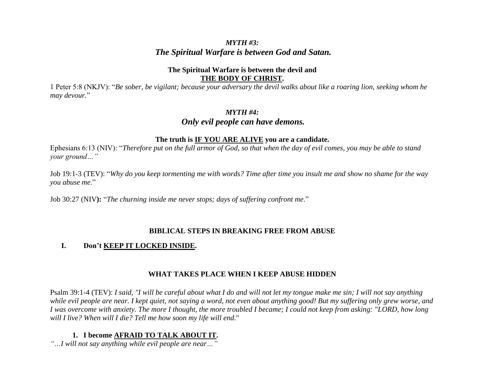# *MYTH #3: The Spiritual Warfare is between God and Satan.*

#### **The Spiritual Warfare is between the devil and THE BODY OF CHRIST.**

1 Peter 5:8 (NKJV): "*Be sober, be vigilant; because your adversary the devil walks about like a roaring lion, seeking whom he may devour*."

#### *MYTH #4:*

# *Only evil people can have demons.*

#### **The truth is IF YOU ARE ALIVE you are a candidate.**

Ephesians 6:13 (NIV): "*Therefore put on the full armor of God, so that when the day of evil comes, you may be able to stand your ground…"*

Job 19:1-3 (TEV): "*Why do you keep tormenting me with words? Time after time you insult me and show no shame for the way you abuse me*."

Job 30:27 (NIV**):** "*The churning inside me never stops; days of suffering confront me*."

#### **BIBLICAL STEPS IN BREAKING FREE FROM ABUSE**

## **I. Don't KEEP IT LOCKED INSIDE.**

## **WHAT TAKES PLACE WHEN I KEEP ABUSE HIDDEN**

Psalm 39:1-4 (TEV): *I said, "I will be careful about what I do and will not let my tongue make me sin; I will not say anything while evil people are near. I kept quiet, not saying a word, not even about anything good! But my suffering only grew worse, and I was overcome with anxiety. The more I thought, the more troubled I became; I could not keep from asking: "LORD, how long will I live? When will I die? Tell me how soon my life will end*."

## **1. I become AFRAID TO TALK ABOUT IT.**

*"…I will not say anything while evil people are near…"*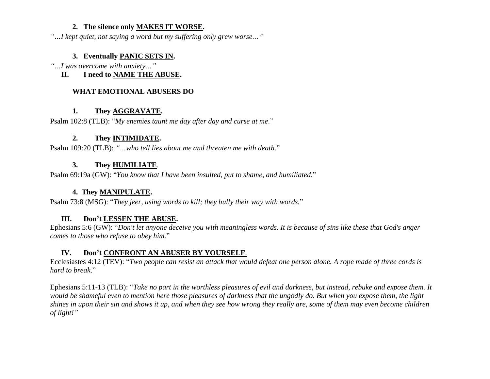#### **2. The silence only MAKES IT WORSE.**

*"…I kept quiet, not saying a word but my suffering only grew worse…"*

#### **3. Eventually PANIC SETS IN.**

*"…I was overcome with anxiety…"*

**II. I need to NAME THE ABUSE.**

#### **WHAT EMOTIONAL ABUSERS DO**

### **1. They AGGRAVATE.**

Psalm 102:8 (TLB): "*My enemies taunt me day after day and curse at me*."

# **2. They INTIMIDATE.**

Psalm 109:20 (TLB): *"…who tell lies about me and threaten me with death*."

## **3. They HUMILIATE**.

Psalm 69:19a (GW): "*You know that I have been insulted, put to shame, and humiliated.*"

# **4. They MANIPULATE.**

Psalm 73:8 (MSG): "*They jeer, using words to kill; they bully their way with words.*"

## **III. Don't LESSEN THE ABUSE.**

Ephesians 5:6 (GW): "*Don't let anyone deceive you with meaningless words. It is because of sins like these that God's anger comes to those who refuse to obey him.*"

## **IV. Don't CONFRONT AN ABUSER BY YOURSELF**.

Ecclesiastes 4:12 (TEV): "*Two people can resist an attack that would defeat one person alone. A rope made of three cords is hard to break*."

Ephesians 5:11-13 (TLB): "*Take no part in the worthless pleasures of evil and darkness, but instead, rebuke and expose them. It would be shameful even to mention here those pleasures of darkness that the ungodly do. But when you expose them, the light shines in upon their sin and shows it up, and when they see how wrong they really are, some of them may even become children of light!"*